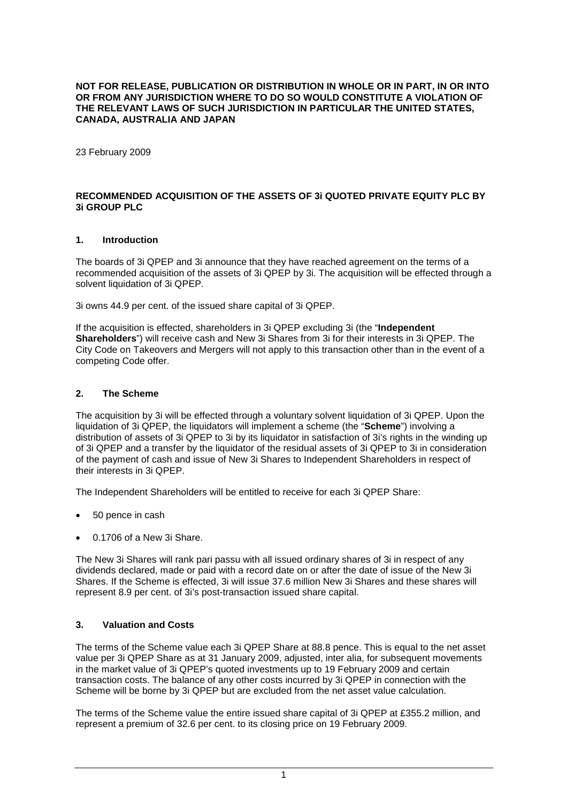### **NOT FOR RELEASE, PUBLICATION OR DISTRIBUTION IN WHOLE OR IN PART, IN OR INTO OR FROM ANY JURISDICTION WHERE TO DO SO WOULD CONSTITUTE A VIOLATION OF THE RELEVANT LAWS OF SUCH JURISDICTION IN PARTICULAR THE UNITED STATES, CANADA, AUSTRALIA AND JAPAN**

23 February 2009

### **RECOMMENDED ACQUISITION OF THE ASSETS OF 3i QUOTED PRIVATE EQUITY PLC BY 3i GROUP PLC**

### **1. Introduction**

The boards of 3i QPEP and 3i announce that they have reached agreement on the terms of a recommended acquisition of the assets of 3i QPEP by 3i. The acquisition will be effected through a solvent liquidation of 3i QPEP.

3i owns 44.9 per cent. of the issued share capital of 3i QPEP.

If the acquisition is effected, shareholders in 3i QPEP excluding 3i (the "**Independent Shareholders**") will receive cash and New 3i Shares from 3i for their interests in 3i QPEP. The City Code on Takeovers and Mergers will not apply to this transaction other than in the event of a competing Code offer.

## **2. The Scheme**

The acquisition by 3i will be effected through a voluntary solvent liquidation of 3i QPEP. Upon the liquidation of 3i QPEP, the liquidators will implement a scheme (the "**Scheme**") involving a distribution of assets of 3i QPEP to 3i by its liquidator in satisfaction of 3i's rights in the winding up of 3i QPEP and a transfer by the liquidator of the residual assets of 3i QPEP to 3i in consideration of the payment of cash and issue of New 3i Shares to Independent Shareholders in respect of their interests in 3i QPEP.

The Independent Shareholders will be entitled to receive for each 3i QPEP Share:

- 50 pence in cash
- 0.1706 of a New 3i Share.

The New 3i Shares will rank pari passu with all issued ordinary shares of 3i in respect of any dividends declared, made or paid with a record date on or after the date of issue of the New 3i Shares. If the Scheme is effected, 3i will issue 37.6 million New 3i Shares and these shares will represent 8.9 per cent. of 3i's post-transaction issued share capital.

### **3. Valuation and Costs**

The terms of the Scheme value each 3i QPEP Share at 88.8 pence. This is equal to the net asset value per 3i QPEP Share as at 31 January 2009, adjusted, inter alia, for subsequent movements in the market value of 3i QPEP's quoted investments up to 19 February 2009 and certain transaction costs. The balance of any other costs incurred by 3i QPEP in connection with the Scheme will be borne by 3i QPEP but are excluded from the net asset value calculation.

The terms of the Scheme value the entire issued share capital of 3i QPEP at £355.2 million, and represent a premium of 32.6 per cent. to its closing price on 19 February 2009.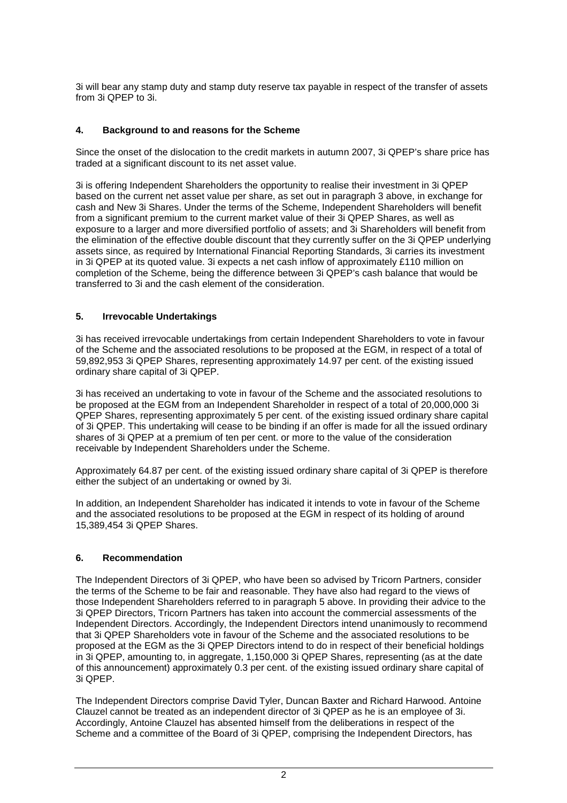3i will bear any stamp duty and stamp duty reserve tax payable in respect of the transfer of assets from 3i QPEP to 3i.

# **4. Background to and reasons for the Scheme**

Since the onset of the dislocation to the credit markets in autumn 2007, 3i QPEP's share price has traded at a significant discount to its net asset value.

3i is offering Independent Shareholders the opportunity to realise their investment in 3i QPEP based on the current net asset value per share, as set out in paragraph 3 above, in exchange for cash and New 3i Shares. Under the terms of the Scheme, Independent Shareholders will benefit from a significant premium to the current market value of their 3i QPEP Shares, as well as exposure to a larger and more diversified portfolio of assets; and 3i Shareholders will benefit from the elimination of the effective double discount that they currently suffer on the 3i QPEP underlying assets since, as required by International Financial Reporting Standards, 3i carries its investment in 3i QPEP at its quoted value. 3i expects a net cash inflow of approximately £110 million on completion of the Scheme, being the difference between 3i QPEP's cash balance that would be transferred to 3i and the cash element of the consideration.

## **5. Irrevocable Undertakings**

3i has received irrevocable undertakings from certain Independent Shareholders to vote in favour of the Scheme and the associated resolutions to be proposed at the EGM, in respect of a total of 59,892,953 3i QPEP Shares, representing approximately 14.97 per cent. of the existing issued ordinary share capital of 3i QPEP.

3i has received an undertaking to vote in favour of the Scheme and the associated resolutions to be proposed at the EGM from an Independent Shareholder in respect of a total of 20,000,000 3i QPEP Shares, representing approximately 5 per cent. of the existing issued ordinary share capital of 3i QPEP. This undertaking will cease to be binding if an offer is made for all the issued ordinary shares of 3i QPEP at a premium of ten per cent. or more to the value of the consideration receivable by Independent Shareholders under the Scheme.

Approximately 64.87 per cent. of the existing issued ordinary share capital of 3i QPEP is therefore either the subject of an undertaking or owned by 3i.

In addition, an Independent Shareholder has indicated it intends to vote in favour of the Scheme and the associated resolutions to be proposed at the EGM in respect of its holding of around 15,389,454 3i QPEP Shares.

### **6. Recommendation**

The Independent Directors of 3i QPEP, who have been so advised by Tricorn Partners, consider the terms of the Scheme to be fair and reasonable. They have also had regard to the views of those Independent Shareholders referred to in paragraph 5 above. In providing their advice to the 3i QPEP Directors, Tricorn Partners has taken into account the commercial assessments of the Independent Directors. Accordingly, the Independent Directors intend unanimously to recommend that 3i QPEP Shareholders vote in favour of the Scheme and the associated resolutions to be proposed at the EGM as the 3i QPEP Directors intend to do in respect of their beneficial holdings in 3i QPEP, amounting to, in aggregate, 1,150,000 3i QPEP Shares, representing (as at the date of this announcement) approximately 0.3 per cent. of the existing issued ordinary share capital of 3i QPEP.

The Independent Directors comprise David Tyler, Duncan Baxter and Richard Harwood. Antoine Clauzel cannot be treated as an independent director of 3i QPEP as he is an employee of 3i. Accordingly, Antoine Clauzel has absented himself from the deliberations in respect of the Scheme and a committee of the Board of 3i QPEP, comprising the Independent Directors, has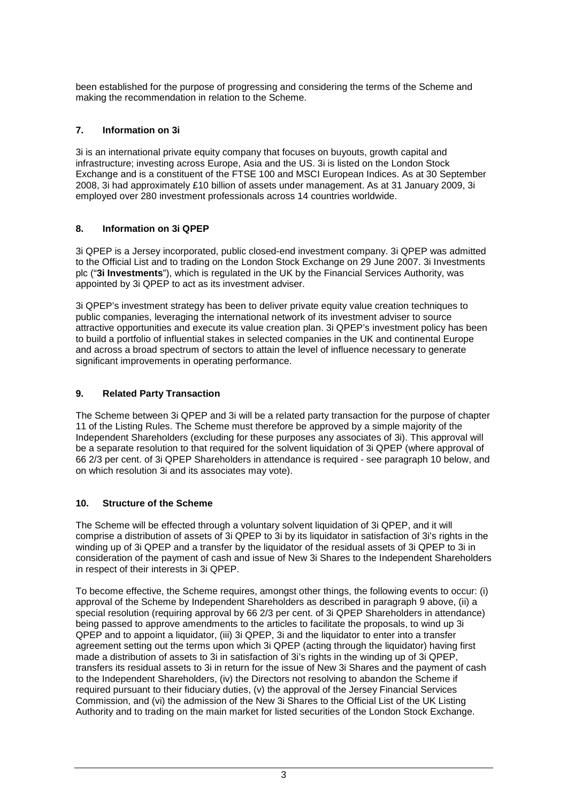been established for the purpose of progressing and considering the terms of the Scheme and making the recommendation in relation to the Scheme.

# **7. Information on 3i**

3i is an international private equity company that focuses on buyouts, growth capital and infrastructure; investing across Europe, Asia and the US. 3i is listed on the London Stock Exchange and is a constituent of the FTSE 100 and MSCI European Indices. As at 30 September 2008, 3i had approximately £10 billion of assets under management. As at 31 January 2009, 3i employed over 280 investment professionals across 14 countries worldwide.

# **8. Information on 3i QPEP**

3i QPEP is a Jersey incorporated, public closed-end investment company. 3i QPEP was admitted to the Official List and to trading on the London Stock Exchange on 29 June 2007. 3i Investments plc ("**3i Investments**"), which is regulated in the UK by the Financial Services Authority, was appointed by 3i QPEP to act as its investment adviser.

3i QPEP's investment strategy has been to deliver private equity value creation techniques to public companies, leveraging the international network of its investment adviser to source attractive opportunities and execute its value creation plan. 3i QPEP's investment policy has been to build a portfolio of influential stakes in selected companies in the UK and continental Europe and across a broad spectrum of sectors to attain the level of influence necessary to generate significant improvements in operating performance.

# **9. Related Party Transaction**

The Scheme between 3i QPEP and 3i will be a related party transaction for the purpose of chapter 11 of the Listing Rules. The Scheme must therefore be approved by a simple majority of the Independent Shareholders (excluding for these purposes any associates of 3i). This approval will be a separate resolution to that required for the solvent liquidation of 3i QPEP (where approval of 66 2/3 per cent. of 3i QPEP Shareholders in attendance is required - see paragraph 10 below, and on which resolution 3i and its associates may vote).

# **10. Structure of the Scheme**

The Scheme will be effected through a voluntary solvent liquidation of 3i QPEP, and it will comprise a distribution of assets of 3i QPEP to 3i by its liquidator in satisfaction of 3i's rights in the winding up of 3i QPEP and a transfer by the liquidator of the residual assets of 3i QPEP to 3i in consideration of the payment of cash and issue of New 3i Shares to the Independent Shareholders in respect of their interests in 3i QPEP.

To become effective, the Scheme requires, amongst other things, the following events to occur: (i) approval of the Scheme by Independent Shareholders as described in paragraph 9 above, (ii) a special resolution (requiring approval by 66 2/3 per cent. of 3i QPEP Shareholders in attendance) being passed to approve amendments to the articles to facilitate the proposals, to wind up 3i QPEP and to appoint a liquidator, (iii) 3i QPEP, 3i and the liquidator to enter into a transfer agreement setting out the terms upon which 3i QPEP (acting through the liquidator) having first made a distribution of assets to 3i in satisfaction of 3i's rights in the winding up of 3i QPEP, transfers its residual assets to 3i in return for the issue of New 3i Shares and the payment of cash to the Independent Shareholders, (iv) the Directors not resolving to abandon the Scheme if required pursuant to their fiduciary duties, (v) the approval of the Jersey Financial Services Commission, and (vi) the admission of the New 3i Shares to the Official List of the UK Listing Authority and to trading on the main market for listed securities of the London Stock Exchange.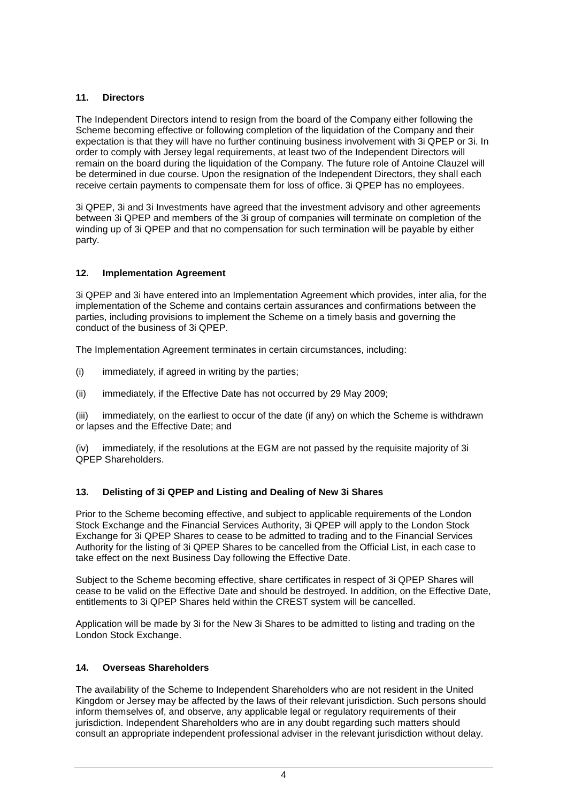# **11. Directors**

The Independent Directors intend to resign from the board of the Company either following the Scheme becoming effective or following completion of the liquidation of the Company and their expectation is that they will have no further continuing business involvement with 3i QPEP or 3i. In order to comply with Jersey legal requirements, at least two of the Independent Directors will remain on the board during the liquidation of the Company. The future role of Antoine Clauzel will be determined in due course. Upon the resignation of the Independent Directors, they shall each receive certain payments to compensate them for loss of office. 3i QPEP has no employees.

3i QPEP, 3i and 3i Investments have agreed that the investment advisory and other agreements between 3i QPEP and members of the 3i group of companies will terminate on completion of the winding up of 3i QPEP and that no compensation for such termination will be payable by either party.

## **12. Implementation Agreement**

3i QPEP and 3i have entered into an Implementation Agreement which provides, inter alia, for the implementation of the Scheme and contains certain assurances and confirmations between the parties, including provisions to implement the Scheme on a timely basis and governing the conduct of the business of 3i QPEP.

The Implementation Agreement terminates in certain circumstances, including:

- (i) immediately, if agreed in writing by the parties;
- (ii) immediately, if the Effective Date has not occurred by 29 May 2009;

(iii) immediately, on the earliest to occur of the date (if any) on which the Scheme is withdrawn or lapses and the Effective Date; and

(iv) immediately, if the resolutions at the EGM are not passed by the requisite majority of 3i QPEP Shareholders.

# **13. Delisting of 3i QPEP and Listing and Dealing of New 3i Shares**

Prior to the Scheme becoming effective, and subject to applicable requirements of the London Stock Exchange and the Financial Services Authority, 3i QPEP will apply to the London Stock Exchange for 3i QPEP Shares to cease to be admitted to trading and to the Financial Services Authority for the listing of 3i QPEP Shares to be cancelled from the Official List, in each case to take effect on the next Business Day following the Effective Date.

Subject to the Scheme becoming effective, share certificates in respect of 3i QPEP Shares will cease to be valid on the Effective Date and should be destroyed. In addition, on the Effective Date, entitlements to 3i QPEP Shares held within the CREST system will be cancelled.

Application will be made by 3i for the New 3i Shares to be admitted to listing and trading on the London Stock Exchange.

# **14. Overseas Shareholders**

The availability of the Scheme to Independent Shareholders who are not resident in the United Kingdom or Jersey may be affected by the laws of their relevant jurisdiction. Such persons should inform themselves of, and observe, any applicable legal or regulatory requirements of their jurisdiction. Independent Shareholders who are in any doubt regarding such matters should consult an appropriate independent professional adviser in the relevant jurisdiction without delay.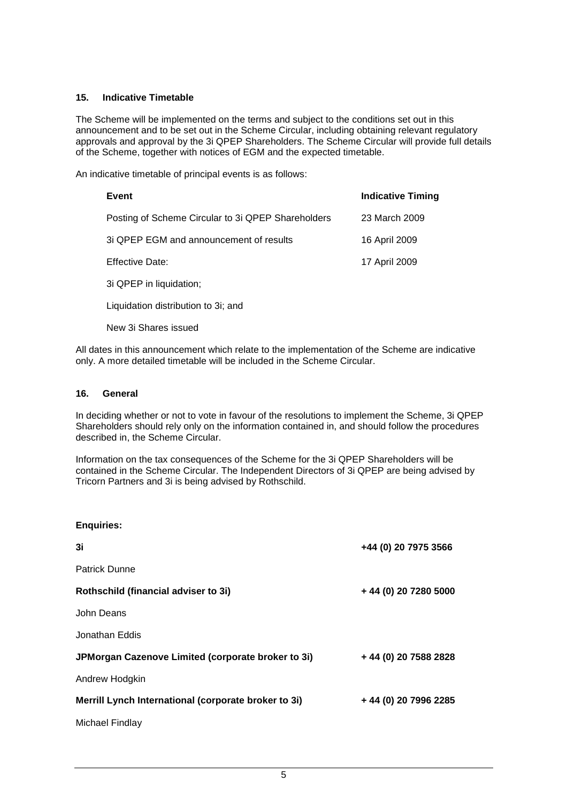### **15. Indicative Timetable**

The Scheme will be implemented on the terms and subject to the conditions set out in this announcement and to be set out in the Scheme Circular, including obtaining relevant regulatory approvals and approval by the 3i QPEP Shareholders. The Scheme Circular will provide full details of the Scheme, together with notices of EGM and the expected timetable.

An indicative timetable of principal events is as follows:

| Event                                              | <b>Indicative Timing</b> |
|----------------------------------------------------|--------------------------|
| Posting of Scheme Circular to 3i QPEP Shareholders | 23 March 2009            |
| 3i QPEP EGM and announcement of results            | 16 April 2009            |
| <b>Effective Date:</b>                             | 17 April 2009            |
| 3i QPEP in liquidation;                            |                          |
|                                                    |                          |

Liquidation distribution to 3i; and

New 3i Shares issued

All dates in this announcement which relate to the implementation of the Scheme are indicative only. A more detailed timetable will be included in the Scheme Circular.

### **16. General**

In deciding whether or not to vote in favour of the resolutions to implement the Scheme, 3i QPEP Shareholders should rely only on the information contained in, and should follow the procedures described in, the Scheme Circular.

Information on the tax consequences of the Scheme for the 3i QPEP Shareholders will be contained in the Scheme Circular. The Independent Directors of 3i QPEP are being advised by Tricorn Partners and 3i is being advised by Rothschild.

| <b>Enquiries:</b>                                    |                       |
|------------------------------------------------------|-----------------------|
| 3i                                                   | +44 (0) 20 7975 3566  |
| <b>Patrick Dunne</b>                                 |                       |
| Rothschild (financial adviser to 3i)                 | +44 (0) 20 7280 5000  |
| John Deans                                           |                       |
| Jonathan Eddis                                       |                       |
| JPMorgan Cazenove Limited (corporate broker to 3i)   | + 44 (0) 20 7588 2828 |
| Andrew Hodgkin                                       |                       |
| Merrill Lynch International (corporate broker to 3i) | + 44 (0) 20 7996 2285 |
| Michael Findlay                                      |                       |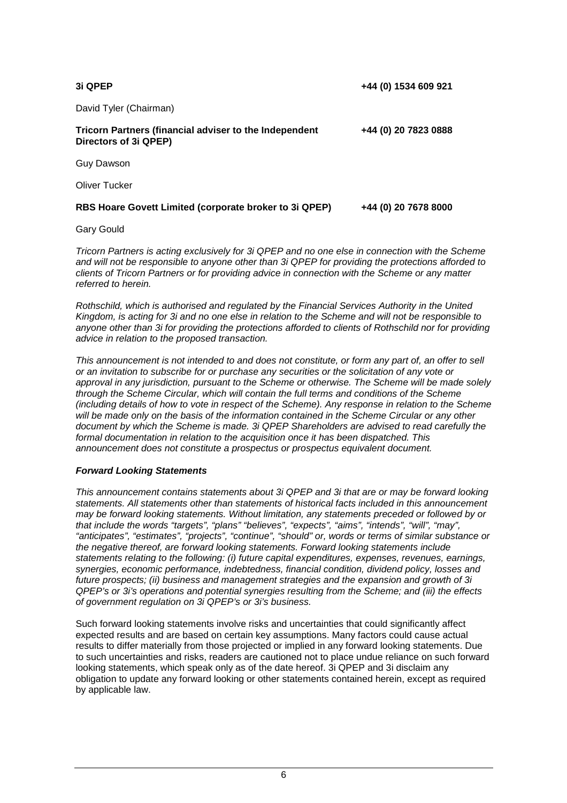| 3i QPEP                                                                                | +44 (0) 1534 609 921 |
|----------------------------------------------------------------------------------------|----------------------|
| David Tyler (Chairman)                                                                 |                      |
| <b>Tricorn Partners (financial adviser to the Independent</b><br>Directors of 3i QPEP) | +44 (0) 20 7823 0888 |
| <b>Guy Dawson</b>                                                                      |                      |
| Oliver Tucker                                                                          |                      |
| RBS Hoare Govett Limited (corporate broker to 3i QPEP)                                 | +44 (0) 20 7678 8000 |

Gary Gould

Tricorn Partners is acting exclusively for 3i QPEP and no one else in connection with the Scheme and will not be responsible to anyone other than 3i QPEP for providing the protections afforded to clients of Tricorn Partners or for providing advice in connection with the Scheme or any matter referred to herein.

Rothschild, which is authorised and regulated by the Financial Services Authority in the United Kingdom, is acting for 3i and no one else in relation to the Scheme and will not be responsible to anyone other than 3i for providing the protections afforded to clients of Rothschild nor for providing advice in relation to the proposed transaction.

This announcement is not intended to and does not constitute, or form any part of, an offer to sell or an invitation to subscribe for or purchase any securities or the solicitation of any vote or approval in any jurisdiction, pursuant to the Scheme or otherwise. The Scheme will be made solely through the Scheme Circular, which will contain the full terms and conditions of the Scheme (including details of how to vote in respect of the Scheme). Any response in relation to the Scheme will be made only on the basis of the information contained in the Scheme Circular or any other document by which the Scheme is made. 3i QPEP Shareholders are advised to read carefully the formal documentation in relation to the acquisition once it has been dispatched. This announcement does not constitute a prospectus or prospectus equivalent document.

### **Forward Looking Statements**

This announcement contains statements about 3i QPEP and 3i that are or may be forward looking statements. All statements other than statements of historical facts included in this announcement may be forward looking statements. Without limitation, any statements preceded or followed by or that include the words "targets", "plans" "believes", "expects", "aims", "intends", "will", "may", "anticipates", "estimates", "projects", "continue", "should" or, words or terms of similar substance or the negative thereof, are forward looking statements. Forward looking statements include statements relating to the following: (i) future capital expenditures, expenses, revenues, earnings, synergies, economic performance, indebtedness, financial condition, dividend policy, losses and future prospects; (ii) business and management strategies and the expansion and growth of 3i QPEP's or 3i's operations and potential synergies resulting from the Scheme; and (iii) the effects of government regulation on 3i QPEP's or 3i's business.

Such forward looking statements involve risks and uncertainties that could significantly affect expected results and are based on certain key assumptions. Many factors could cause actual results to differ materially from those projected or implied in any forward looking statements. Due to such uncertainties and risks, readers are cautioned not to place undue reliance on such forward looking statements, which speak only as of the date hereof. 3i QPEP and 3i disclaim any obligation to update any forward looking or other statements contained herein, except as required by applicable law.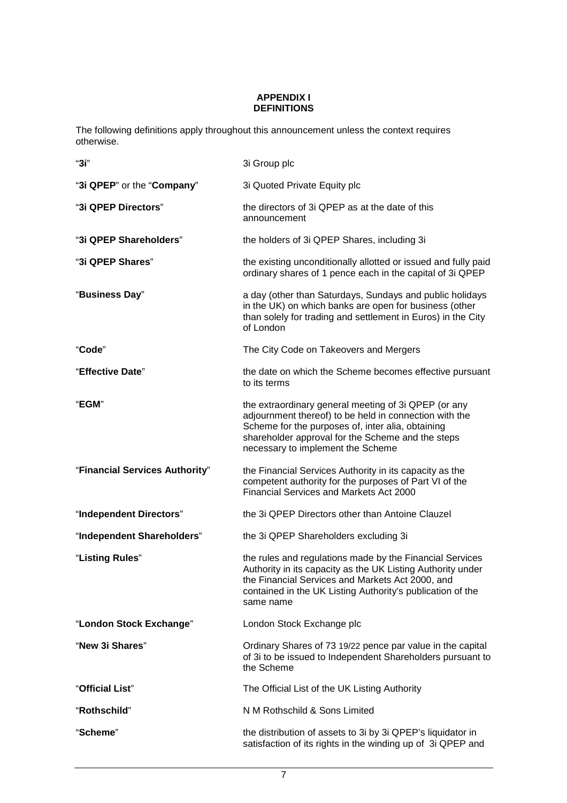### **APPENDIX I DEFINITIONS**

The following definitions apply throughout this announcement unless the context requires otherwise.

| "3i"                           | 3i Group plc                                                                                                                                                                                                                                                  |
|--------------------------------|---------------------------------------------------------------------------------------------------------------------------------------------------------------------------------------------------------------------------------------------------------------|
| "3i QPEP" or the "Company"     | 3i Quoted Private Equity plc                                                                                                                                                                                                                                  |
| "3i QPEP Directors"            | the directors of 3i QPEP as at the date of this<br>announcement                                                                                                                                                                                               |
| "3i QPEP Shareholders"         | the holders of 3i QPEP Shares, including 3i                                                                                                                                                                                                                   |
| "3i QPEP Shares"               | the existing unconditionally allotted or issued and fully paid<br>ordinary shares of 1 pence each in the capital of 3i QPEP                                                                                                                                   |
| "Business Day"                 | a day (other than Saturdays, Sundays and public holidays<br>in the UK) on which banks are open for business (other<br>than solely for trading and settlement in Euros) in the City<br>of London                                                               |
| "Code"                         | The City Code on Takeovers and Mergers                                                                                                                                                                                                                        |
| "Effective Date"               | the date on which the Scheme becomes effective pursuant<br>to its terms                                                                                                                                                                                       |
| "EGM"                          | the extraordinary general meeting of 3i QPEP (or any<br>adjournment thereof) to be held in connection with the<br>Scheme for the purposes of, inter alia, obtaining<br>shareholder approval for the Scheme and the steps<br>necessary to implement the Scheme |
| "Financial Services Authority" | the Financial Services Authority in its capacity as the<br>competent authority for the purposes of Part VI of the<br>Financial Services and Markets Act 2000                                                                                                  |
| "Independent Directors"        | the 3i QPEP Directors other than Antoine Clauzel                                                                                                                                                                                                              |
| "Independent Shareholders"     | the 3i QPEP Shareholders excluding 3i                                                                                                                                                                                                                         |
| "Listing Rules"                | the rules and regulations made by the Financial Services<br>Authority in its capacity as the UK Listing Authority under<br>the Financial Services and Markets Act 2000, and<br>contained in the UK Listing Authority's publication of the<br>same name        |
| "London Stock Exchange"        | London Stock Exchange plc                                                                                                                                                                                                                                     |
| "New 3i Shares"                | Ordinary Shares of 73 19/22 pence par value in the capital<br>of 3i to be issued to Independent Shareholders pursuant to<br>the Scheme                                                                                                                        |
| "Official List"                | The Official List of the UK Listing Authority                                                                                                                                                                                                                 |
| "Rothschild"                   | N M Rothschild & Sons Limited                                                                                                                                                                                                                                 |
| "Scheme"                       | the distribution of assets to 3i by 3i QPEP's liquidator in<br>satisfaction of its rights in the winding up of 3i QPEP and                                                                                                                                    |